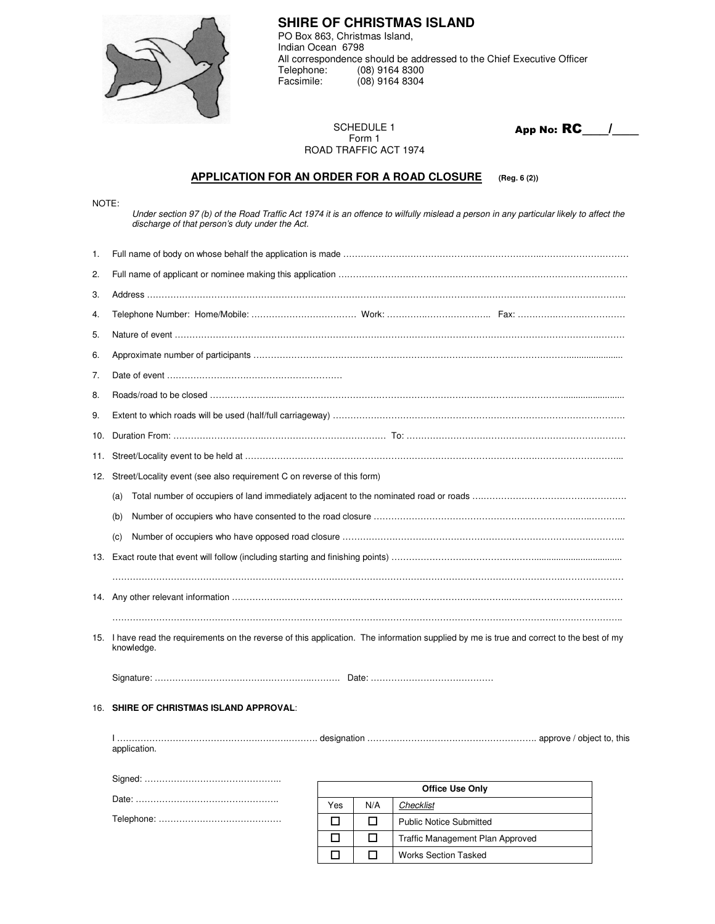

discharge of that person's duty under the Act.

NOTE:

**SHIRE OF CHRISTMAS ISLAND**  PO Box 863, Christmas Island, Indian Ocean 6798 All correspondence should be addressed to the Chief Executive Officer<br>Telephone: (08) 9164 8300 Telephone: (08) 9164 8300<br>Facsimile: (08) 9164 8304  $(08)$  9164 8304

SCHEDULE 1 Form 1 ROAD TRAFFIC ACT 1974 App No: **RC** /

**APPLICATION FOR AN ORDER FOR A ROAD CLOSURE (Reg. 6 (2))**

Under section 97 (b) of the Road Traffic Act 1974 it is an offence to wilfully mislead a person in any particular likely to affect the

| 1.  |                                                                                                                                                         |        |        |                                     |  |  |  |  |
|-----|---------------------------------------------------------------------------------------------------------------------------------------------------------|--------|--------|-------------------------------------|--|--|--|--|
| 2.  |                                                                                                                                                         |        |        |                                     |  |  |  |  |
| 3.  |                                                                                                                                                         |        |        |                                     |  |  |  |  |
| 4.  |                                                                                                                                                         |        |        |                                     |  |  |  |  |
| 5.  |                                                                                                                                                         |        |        |                                     |  |  |  |  |
| 6.  |                                                                                                                                                         |        |        |                                     |  |  |  |  |
| 7.  |                                                                                                                                                         |        |        |                                     |  |  |  |  |
| 8.  |                                                                                                                                                         |        |        |                                     |  |  |  |  |
| 9.  |                                                                                                                                                         |        |        |                                     |  |  |  |  |
| 10. |                                                                                                                                                         |        |        |                                     |  |  |  |  |
| 11. |                                                                                                                                                         |        |        |                                     |  |  |  |  |
| 12. | Street/Locality event (see also requirement C on reverse of this form)                                                                                  |        |        |                                     |  |  |  |  |
|     | (a)                                                                                                                                                     |        |        |                                     |  |  |  |  |
|     | (b)                                                                                                                                                     |        |        |                                     |  |  |  |  |
|     | (c)                                                                                                                                                     |        |        |                                     |  |  |  |  |
|     |                                                                                                                                                         |        |        |                                     |  |  |  |  |
|     |                                                                                                                                                         |        |        |                                     |  |  |  |  |
|     |                                                                                                                                                         |        |        |                                     |  |  |  |  |
|     | 15. I have read the requirements on the reverse of this application. The information supplied by me is true and correct to the best of my<br>knowledge. |        |        |                                     |  |  |  |  |
|     |                                                                                                                                                         |        |        |                                     |  |  |  |  |
|     | 16. SHIRE OF CHRISTMAS ISLAND APPROVAL:                                                                                                                 |        |        |                                     |  |  |  |  |
|     | application.                                                                                                                                            |        |        |                                     |  |  |  |  |
|     |                                                                                                                                                         |        |        |                                     |  |  |  |  |
|     |                                                                                                                                                         | Yes    | N/A    | <b>Office Use Only</b><br>Checklist |  |  |  |  |
|     |                                                                                                                                                         | □      | □      | <b>Public Notice Submitted</b>      |  |  |  |  |
|     |                                                                                                                                                         | $\Box$ | $\Box$ | Traffic Management Plan Approved    |  |  |  |  |
|     |                                                                                                                                                         | $\Box$ | $\Box$ | <b>Works Section Tasked</b>         |  |  |  |  |